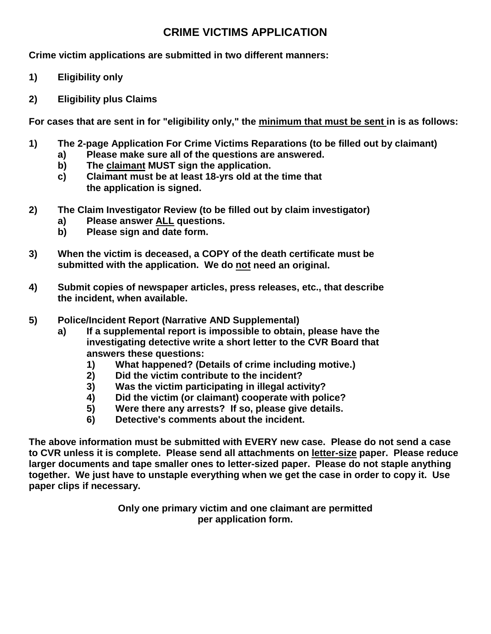## **CRIME VICTIMS APPLICATION**

**Crime victim applications are submitted in two different manners:**

- **1) Eligibility only**
- **2) Eligibility plus Claims**

**For cases that are sent in for "eligibility only," the minimum that must be sent in is as follows:**

- **1) The 2-page Application For Crime Victims Reparations (to be filled out by claimant)**
	- **a) Please make sure all of the questions are answered.**
	- **b) The claimant MUST sign the application.**
	- **c) Claimant must be at least 18-yrs old at the time that the application is signed.**
- **2) The Claim Investigator Review (to be filled out by claim investigator)**
	- **a) Please answer ALL questions.**
	- **b) Please sign and date form.**
- **3) When the victim is deceased, a COPY of the death certificate must be submitted with the application. We do not need an original.**
- **4) Submit copies of newspaper articles, press releases, etc., that describe the incident, when available.**
- **5) Police/Incident Report (Narrative AND Supplemental)**
	- **a) If a supplemental report is impossible to obtain, please have the investigating detective write a short letter to the CVR Board that answers these questions:**
		- **1) What happened? (Details of crime including motive.)**
		- **2) Did the victim contribute to the incident?**
		- **3) Was the victim participating in illegal activity?**
		- **4) Did the victim (or claimant) cooperate with police?**
		- **5) Were there any arrests? If so, please give details.**
		- **6) Detective's comments about the incident.**

**The above information must be submitted with EVERY new case. Please do not send a case to CVR unless it is complete. Please send all attachments on letter-size paper. Please reduce larger documents and tape smaller ones to letter-sized paper. Please do not staple anything together. We just have to unstaple everything when we get the case in order to copy it. Use paper clips if necessary.**

> **Only one primary victim and one claimant are permitted per application form.**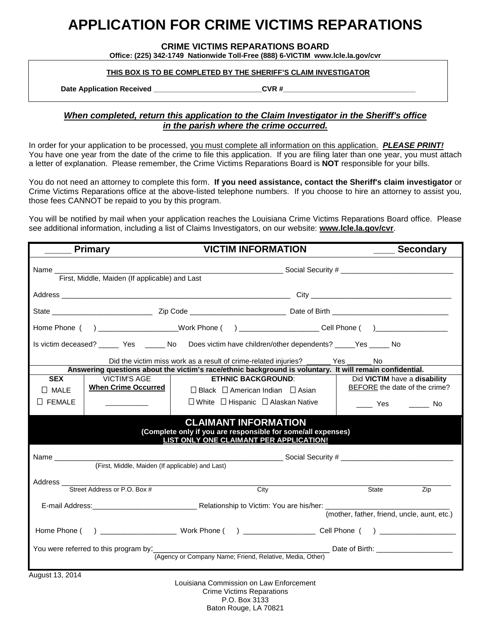# **APPLICATION FOR CRIME VICTIMS REPARATIONS**

#### **CRIME VICTIMS REPARATIONS BOARD**

**Office: (225) 342-1749 Nationwide Toll-Free (888) 6-VICTIM www.lcle.la.gov/cvr**

#### **THIS BOX IS TO BE COMPLETED BY THE SHERIFF'S CLAIM INVESTIGATOR**

Date Application Received \_\_\_\_\_\_\_\_\_\_\_\_\_\_\_\_\_\_\_\_\_\_\_\_\_\_\_\_\_\_\_\_CVR #\_\_\_

### *When completed, return this application to the Claim Investigator in the Sheriff's office in the parish where the crime occurred.*

In order for your application to be processed, you must complete all information on this application. *PLEASE PRINT!* You have one year from the date of the crime to file this application. If you are filing later than one year, you must attach a letter of explanation. Please remember, the Crime Victims Reparations Board is **NOT** responsible for your bills.

You do not need an attorney to complete this form. **If you need assistance, contact the Sheriff's claim investigator** or Crime Victims Reparations office at the above-listed telephone numbers. If you choose to hire an attorney to assist you, those fees CANNOT be repaid to you by this program.

You will be notified by mail when your application reaches the Louisiana Crime Victims Reparations Board office. Please see additional information, including a list of Claims Investigators, on our website: **www.lcle.la.gov/cvr**.

| <b>Primary</b>                                                                                                                         |                                                                                               | <b>VICTIM INFORMATION</b>                                                                                 | <b>Secondary</b>              |  |  |  |  |  |
|----------------------------------------------------------------------------------------------------------------------------------------|-----------------------------------------------------------------------------------------------|-----------------------------------------------------------------------------------------------------------|-------------------------------|--|--|--|--|--|
|                                                                                                                                        |                                                                                               |                                                                                                           |                               |  |  |  |  |  |
|                                                                                                                                        |                                                                                               |                                                                                                           |                               |  |  |  |  |  |
|                                                                                                                                        |                                                                                               |                                                                                                           |                               |  |  |  |  |  |
|                                                                                                                                        |                                                                                               | Home Phone ( ) ____________________Work Phone ( ) _____________________Cell Phone ( ) ___________________ |                               |  |  |  |  |  |
|                                                                                                                                        |                                                                                               | Is victim deceased? _____ Yes _____ No Does victim have children/other dependents? ____ Yes ____ No       |                               |  |  |  |  |  |
| Did the victim miss work as a result of crime-related injuries? ________ Yes<br>No                                                     |                                                                                               |                                                                                                           |                               |  |  |  |  |  |
|                                                                                                                                        |                                                                                               | Answering questions about the victim's race/ethnic background is voluntary. It will remain confidential.  |                               |  |  |  |  |  |
| <b>SEX</b>                                                                                                                             | <b>VICTIM'S AGE</b>                                                                           | <b>ETHNIC BACKGROUND:</b>                                                                                 | Did VICTIM have a disability  |  |  |  |  |  |
| $\Box$ MALE                                                                                                                            | <b>When Crime Occurred</b>                                                                    | $\Box$ Black $\Box$ American Indian $\Box$ Asian                                                          | BEFORE the date of the crime? |  |  |  |  |  |
| $\Box$ FEMALE                                                                                                                          |                                                                                               | $\Box$ White $\Box$ Hispanic $\Box$ Alaskan Native                                                        | _____ Yes ______<br>No        |  |  |  |  |  |
| <b>CLAIMANT INFORMATION</b><br>(Complete only if you are responsible for some/all expenses)<br>LIST ONLY ONE CLAIMANT PER APPLICATION! |                                                                                               |                                                                                                           |                               |  |  |  |  |  |
|                                                                                                                                        |                                                                                               |                                                                                                           |                               |  |  |  |  |  |
| ______________________________Social Security # ________________________________<br>(First, Middle, Maiden (If applicable) and Last)   |                                                                                               |                                                                                                           |                               |  |  |  |  |  |
| Address_                                                                                                                               | <u> 1980 - Jan James Sand, Amerikaansk politiker († 1908)</u><br>Street Address or P.O. Box # | City                                                                                                      | <b>State</b><br>Zip           |  |  |  |  |  |
|                                                                                                                                        |                                                                                               |                                                                                                           |                               |  |  |  |  |  |
| (mother, father, friend, uncle, aunt, etc.)                                                                                            |                                                                                               |                                                                                                           |                               |  |  |  |  |  |
|                                                                                                                                        |                                                                                               |                                                                                                           |                               |  |  |  |  |  |
| Date of Birth: _______________________<br>You were referred to this program by:___________                                             |                                                                                               |                                                                                                           |                               |  |  |  |  |  |
| (Agency or Company Name; Friend, Relative, Media, Other)                                                                               |                                                                                               |                                                                                                           |                               |  |  |  |  |  |
|                                                                                                                                        |                                                                                               |                                                                                                           |                               |  |  |  |  |  |

August 13, 2014

Louisiana Commission on Law Enforcement Crime Victims Reparations P.O. Box 3133 Baton Rouge, LA 70821